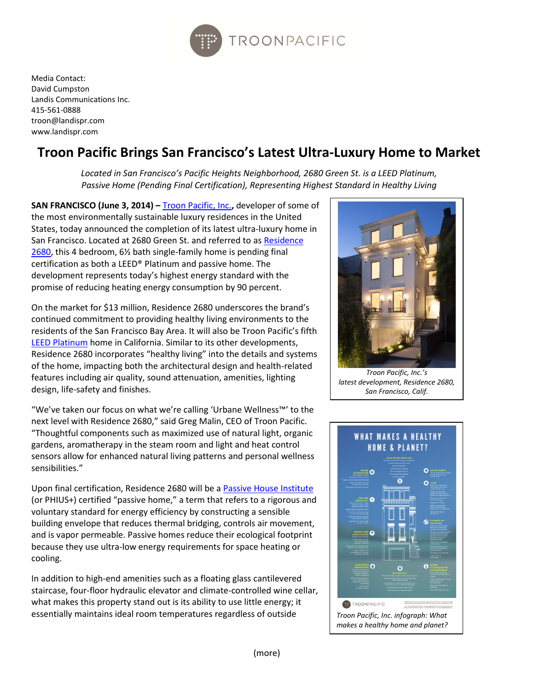

Media Contact: David Cumpston Landis Communications Inc. 415-561-0888 troon@landispr.com www.landispr.com

# **Troon Pacific Brings San Francisco's Latest Ultra-Luxury Home to Market**

*Located in San Francisco's Pacific Heights Neighborhood, 2680 Green St. is a LEED Platinum, Passive Home (Pending Final Certification), Representing Highest Standard in Healthy Living*

**SAN FRANCISCO (June 3, 2014) – [Troon Pacific,](http://www.troonresidential.com/portfolio) Inc., developer of some of** the most environmentally sustainable luxury residences in the United States, today announced the completion of its latest ultra-luxury home in San Francisco. Located at 2680 Green St. and referred to a[s Residence](http://residence2680.com/)  [2680,](http://residence2680.com/) this 4 bedroom, 6½ bath single-family home is pending final certification as both a LEED® Platinum and passive home. The development represents today's highest energy standard with the promise of reducing heating energy consumption by 90 percent.

On the market for \$13 million, Residence 2680 underscores the brand's continued commitment to providing healthy living environments to the residents of the San Francisco Bay Area. It will also be Troon Pacific's fifth [LEED Platinum](http://www.usgbc.org/leed) home in California. Similar to its other developments, Residence 2680 incorporates "healthy living" into the details and systems of the home, impacting both the architectural design and health-related features including air quality, sound attenuation, amenities, lighting design, life-safety and finishes.

"We've taken our focus on what we're calling 'Urbane Wellness™' to the next level with Residence 2680," said Greg Malin, CEO of Troon Pacific. "Thoughtful components such as maximized use of natural light, organic gardens, aromatherapy in the steam room and light and heat control sensors allow for enhanced natural living patterns and personal wellness sensibilities."

Upon final certification, Residence 2680 will be a [Passive House Institute](http://www.passivehouse.us/passiveHouse/PHIUSHome.html) (or PHIUS+) certified "passive home," a term that refers to a rigorous and voluntary standard for energy efficiency by constructing a sensible building envelope that reduces thermal bridging, controls air movement, and is vapor permeable. Passive homes reduce their ecological footprint because they use ultra-low energy requirements for space heating or cooling.

In addition to high-end amenities such as a floating glass cantilevered staircase, four-floor hydraulic elevator and climate-controlled wine cellar, what makes this property stand out is its ability to use little energy; it essentially maintains ideal room temperatures regardless of outside



*Troon Pacific, Inc.'s latest development, Residence 2680, San Francisco, Calif.*

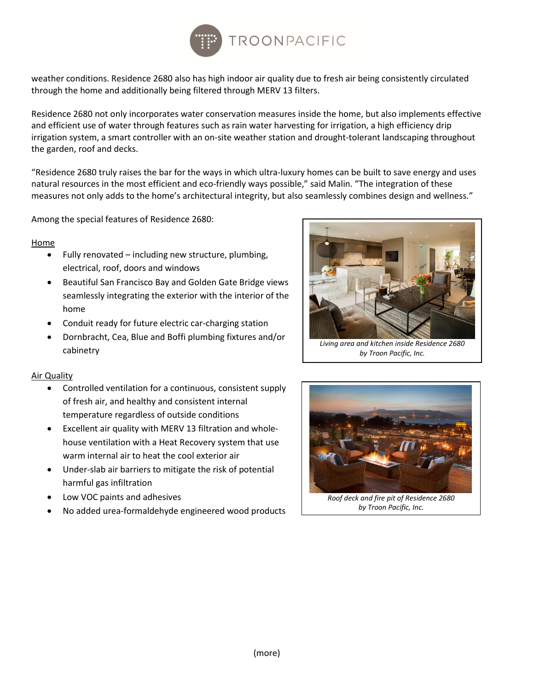

weather conditions. Residence 2680 also has high indoor air quality due to fresh air being consistently circulated through the home and additionally being filtered through MERV 13 filters.

Residence 2680 not only incorporates water conservation measures inside the home, but also implements effective and efficient use of water through features such as rain water harvesting for irrigation, a high efficiency drip irrigation system, a smart controller with an on-site weather station and drought-tolerant landscaping throughout the garden, roof and decks.

"Residence 2680 truly raises the bar for the ways in which ultra-luxury homes can be built to save energy and uses natural resources in the most efficient and eco-friendly ways possible," said Malin. "The integration of these measures not only adds to the home's architectural integrity, but also seamlessly combines design and wellness."

Among the special features of Residence 2680:

#### **Home**

- Fully renovated including new structure, plumbing, electrical, roof, doors and windows
- Beautiful San Francisco Bay and Golden Gate Bridge views seamlessly integrating the exterior with the interior of the home
- Conduit ready for future electric car-charging station
- Dornbracht, Cea, Blue and Boffi plumbing fixtures and/or cabinetry

#### Air Quality

- Controlled ventilation for a continuous, consistent supply of fresh air, and healthy and consistent internal temperature regardless of outside conditions
- Excellent air quality with MERV 13 filtration and wholehouse ventilation with a Heat Recovery system that use warm internal air to heat the cool exterior air
- Under-slab air barriers to mitigate the risk of potential harmful gas infiltration
- Low VOC paints and adhesives
- No added urea-formaldehyde engineered wood products



*Living area and kitchen inside Residence 2680 by Troon Pacific, Inc.*



*by Troon Pacific, Inc.*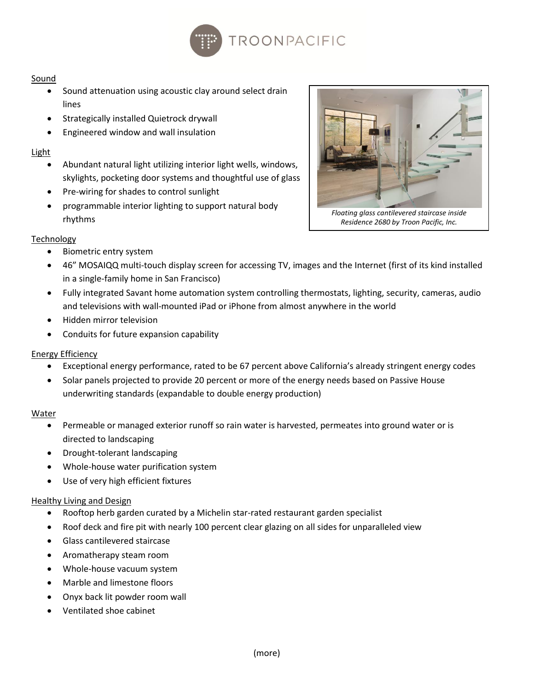

## Sound

- Sound attenuation using acoustic clay around select drain lines
- Strategically installed Quietrock drywall
- Engineered window and wall insulation

## **Light**

- Abundant natural light utilizing interior light wells, windows, skylights, pocketing door systems and thoughtful use of glass
- Pre-wiring for shades to control sunlight
- programmable interior lighting to support natural body rhythms

# **Technology**

- Biometric entry system
- 46" MOSAIQQ multi-touch display screen for accessing TV, images and the Internet (first of its kind installed in a single-family home in San Francisco)
- Fully integrated Savant home automation system controlling thermostats, lighting, security, cameras, audio and televisions with wall-mounted iPad or iPhone from almost anywhere in the world
- Hidden mirror television
- Conduits for future expansion capability

## Energy Efficiency

- Exceptional energy performance, rated to be 67 percent above California's already stringent energy codes
- Solar panels projected to provide 20 percent or more of the energy needs based on Passive House underwriting standards (expandable to double energy production)

## Water

- Permeable or managed exterior runoff so rain water is harvested, permeates into ground water or is directed to landscaping
- Drought-tolerant landscaping
- Whole-house water purification system
- Use of very high efficient fixtures

## Healthy Living and Design

- Rooftop herb garden curated by a Michelin star-rated restaurant garden specialist
- Roof deck and fire pit with nearly 100 percent clear glazing on all sides for unparalleled view
- Glass cantilevered staircase
- Aromatherapy steam room
- Whole-house vacuum system
- Marble and limestone floors
- Onyx back lit powder room wall
- Ventilated shoe cabinet



(more)